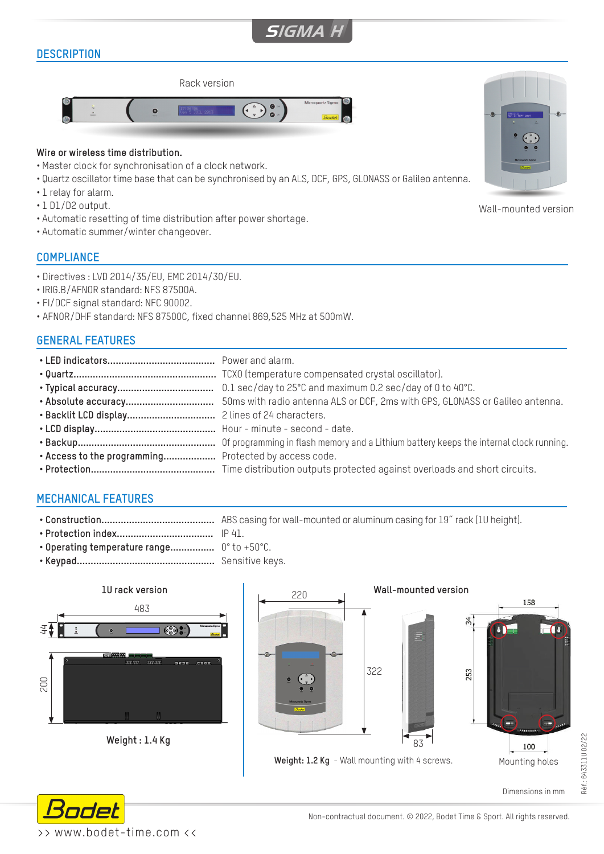# **SIGMA H**

# **DESCRIPTION**



#### **Wire or wireless time distribution.**

- Master clock for synchronisation of a clock network.
- Quartz oscillator time base that can be synchronised by an ALS, DCF, GPS, GLONASS or Galileo antenna.
- 1 relay for alarm.
- 1 D1/D2 output.
- Automatic resetting of time distribution after power shortage.
- Automatic summer/winter changeover.

#### **COMPLIANCE**

- Directives : LVD 2014/35/EU, EMC 2014/30/EU.
- IRIG.B/AFNOR standard: NFS 87500A.
- FI/DCF signal standard: NFC 90002.
- AFNOR/DHF standard: NFS 87500C, fixed channel 869,525 MHz at 500mW.

## **GENERAL FEATURES**

| . Access to the programming Protected by access code. |  |
|-------------------------------------------------------|--|
|                                                       |  |
|                                                       |  |

## **MECHANICAL FEATURES**

- **• Construction.........................................** ABS casing for wall-mounted or aluminum casing for 19˝ rack (1U height).
- **• Protection index...................................** IP 41.
- **• Operating temperature range................** 0° to +50°C.
- **• Keypad..................................................** Sensitive keys.







Wall-mounted version